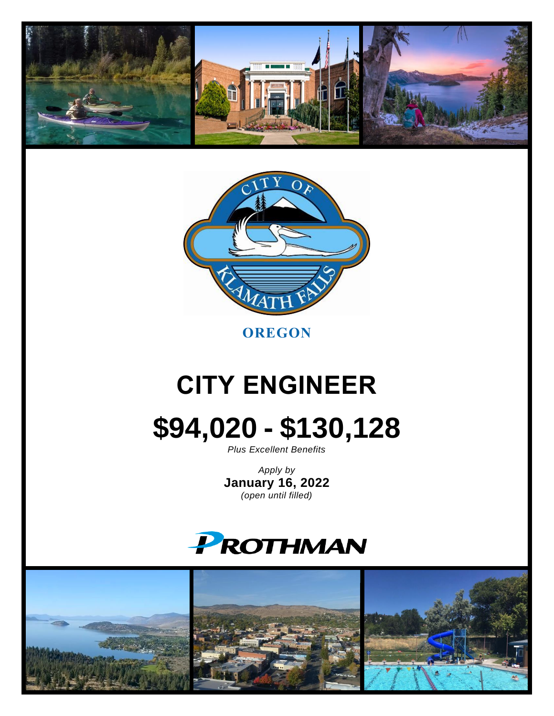



**OREGON**

# **CITY ENGINEER**

**\$94,020 - \$130,128**

*Plus Excellent Benefits*

*Apply by* **January 16, 2022** *(open until filled)*



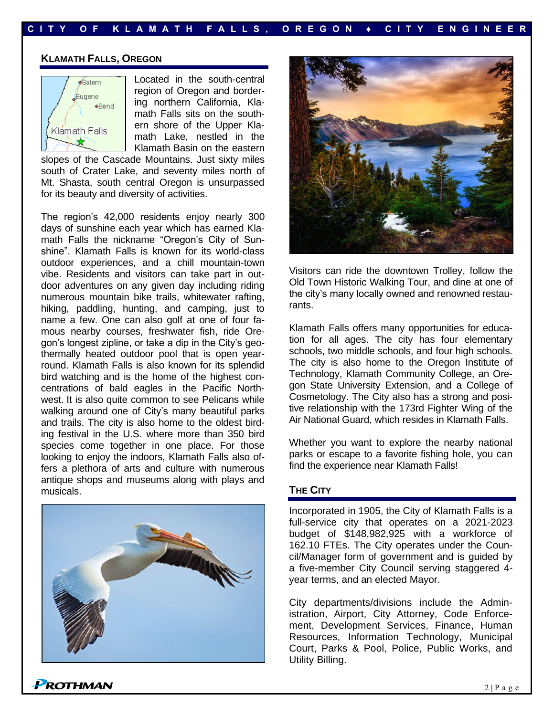#### **KLAMATH FALLS, OREGON**



Located in the south-central region of Oregon and bordering northern California, Klamath Falls sits on the southern shore of the Upper Klamath Lake, nestled in the Klamath Basin on the eastern

slopes of the Cascade Mountains. Just sixty miles south of Crater Lake, and seventy miles north of Mt. Shasta, south central Oregon is unsurpassed for its beauty and diversity of activities.

The region's 42,000 residents enjoy nearly 300 days of sunshine each year which has earned Klamath Falls the nickname "Oregon's City of Sunshine". Klamath Falls is known for its world-class outdoor experiences, and a chill mountain-town vibe. Residents and visitors can take part in outdoor adventures on any given day including riding numerous mountain bike trails, whitewater rafting, hiking, paddling, hunting, and camping, just to name a few. One can also golf at one of four famous nearby courses, freshwater fish, ride Oregon's longest zipline, or take a dip in the City's geothermally heated outdoor pool that is open yearround. Klamath Falls is also known for its splendid bird watching and is the home of the highest concentrations of bald eagles in the Pacific Northwest. It is also quite common to see Pelicans while walking around one of City's many beautiful parks and trails. The city is also home to the oldest birding festival in the U.S. where more than 350 bird species come together in one place. For those looking to enjoy the indoors, Klamath Falls also offers a plethora of arts and culture with numerous antique shops and museums along with plays and musicals.





Visitors can ride the downtown Trolley, follow the Old Town Historic Walking Tour, and dine at one of the city's many locally owned and renowned restaurants.

Klamath Falls offers many opportunities for education for all ages. The city has four elementary schools, two middle schools, and four high schools. The city is also home to the Oregon Institute of Technology, Klamath Community College, an Oregon State University Extension, and a College of Cosmetology. The City also has a strong and positive relationship with the 173rd Fighter Wing of the Air National Guard, which resides in Klamath Falls.

Whether you want to explore the nearby national parks or escape to a favorite fishing hole, you can find the experience near Klamath Falls!

#### **THE CITY**

Incorporated in 1905, the City of Klamath Falls is a full-service city that operates on a 2021-2023 budget of \$148,982,925 with a workforce of 162.10 FTEs. The City operates under the Council/Manager form of government and is guided by a five-member City Council serving staggered 4 year terms, and an elected Mayor.

City departments/divisions include the Administration, Airport, City Attorney, Code Enforcement, Development Services, Finance, Human Resources, Information Technology, Municipal Court, Parks & Pool, Police, Public Works, and Utility Billing.

ROTHMAN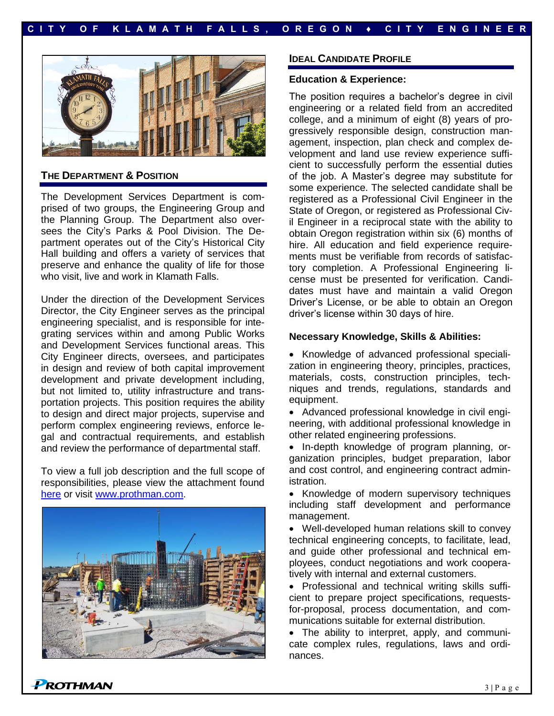

#### **THE DEPARTMENT & POSITION**

The Development Services Department is comprised of two groups, the Engineering Group and the Planning Group. The Department also oversees the City's Parks & Pool Division. The Department operates out of the City's Historical City Hall building and offers a variety of services that preserve and enhance the quality of life for those who visit, live and work in Klamath Falls.

Under the direction of the Development Services Director, the City Engineer serves as the principal engineering specialist, and is responsible for integrating services within and among Public Works and Development Services functional areas. This City Engineer directs, oversees, and participates in design and review of both capital improvement development and private development including, but not limited to, utility infrastructure and transportation projects. This position requires the ability to design and direct major projects, supervise and perform complex engineering reviews, enforce legal and contractual requirements, and establish and review the performance of departmental staff.

To view a full job description and the full scope of responsibilities, please view the attachment found [here](https://prothman.com/JobFiles/2925/City%20Engineer%20Job%20Description.pdf) or visit [www.prothman.com.](http://www.prothman.com/)



ROTHMAN

#### **IDEAL CANDIDATE PROFILE**

#### **Education & Experience:**

The position requires a bachelor's degree in civil engineering or a related field from an accredited college, and a minimum of eight (8) years of progressively responsible design, construction management, inspection, plan check and complex development and land use review experience sufficient to successfully perform the essential duties of the job. A Master's degree may substitute for some experience. The selected candidate shall be registered as a Professional Civil Engineer in the State of Oregon, or registered as Professional Civil Engineer in a reciprocal state with the ability to obtain Oregon registration within six (6) months of hire. All education and field experience requirements must be verifiable from records of satisfactory completion. A Professional Engineering license must be presented for verification. Candidates must have and maintain a valid Oregon Driver's License, or be able to obtain an Oregon driver's license within 30 days of hire.

#### **Necessary Knowledge, Skills & Abilities:**

• Knowledge of advanced professional specialization in engineering theory, principles, practices, materials, costs, construction principles, techniques and trends, regulations, standards and equipment.

• Advanced professional knowledge in civil engineering, with additional professional knowledge in other related engineering professions.

• In-depth knowledge of program planning, organization principles, budget preparation, labor and cost control, and engineering contract administration.

• Knowledge of modern supervisory techniques including staff development and performance management.

• Well-developed human relations skill to convey technical engineering concepts, to facilitate, lead, and guide other professional and technical employees, conduct negotiations and work cooperatively with internal and external customers.

• Professional and technical writing skills sufficient to prepare project specifications, requestsfor-proposal, process documentation, and communications suitable for external distribution.

• The ability to interpret, apply, and communicate complex rules, regulations, laws and ordinances.